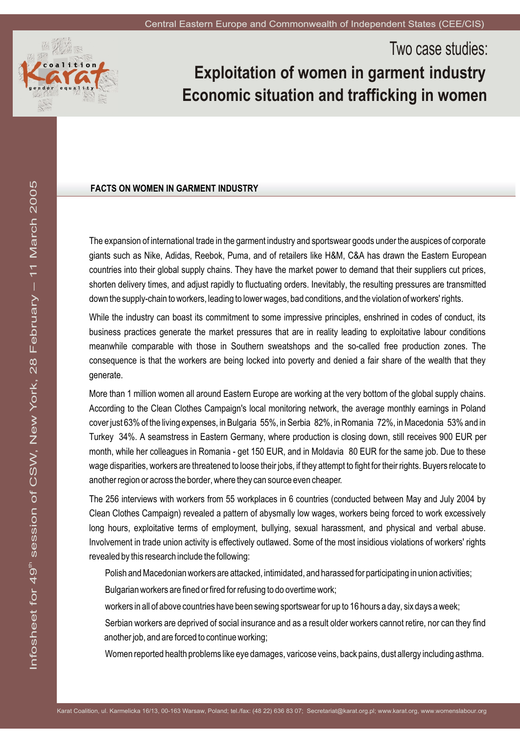

# Two case studies: **Exploitation of women in garment industry Economic situation and trafficking in women**

## **FACTS ON WOMEN IN GARMENT INDUSTRY**

The expansion of international trade in the garment industry and sportswear goods under the auspices of corporate giants such as Nike, Adidas, Reebok, Puma, and of retailers like H&M, C&A has drawn the Eastern European countries into their global supply chains. They have the market power to demand that their suppliers cut prices, shorten delivery times, and adjust rapidly to fluctuating orders. Inevitably, the resulting pressures are transmitted down the supply-chain to workers, leading to lower wages, bad conditions, and the violation of workers' rights.

While the industry can boast its commitment to some impressive principles, enshrined in codes of conduct, its business practices generate the market pressures that are in reality leading to exploitative labour conditions meanwhile comparable with those in Southern sweatshops and the so-called free production zones. The consequence is that the workers are being locked into poverty and denied a fair share of the wealth that they generate.

More than 1 million women all around Eastern Europe are working at the very bottom of the global supply chains. According to the Clean Clothes Campaign's local monitoring network, the average monthly earnings in Poland cover just 63% of the living expenses, in Bulgaria 55%, in Serbia 82%, in Romania 72%, in Macedonia 53% and in Turkey 34%. A seamstress in Eastern Germany, where production is closing down, still receives 900 EUR per month, while her colleagues in Romania - get 150 EUR, and in Moldavia 80 EUR for the same job. Due to these wage disparities, workers are threatened to loose their jobs, if they attempt to fight for their rights. Buyers relocate to another region or across the border, where they can source even cheaper.

The 256 interviews with workers from 55 workplaces in 6 countries (conducted between May and July 2004 by Clean Clothes Campaign) revealed a pattern of abysmally low wages, workers being forced to work excessively long hours, exploitative terms of employment, bullying, sexual harassment, and physical and verbal abuse. Involvement in trade union activity is effectively outlawed. Some of the most insidious violations of workers' rights revealed by this research include the following:

Polish and Macedonian workers are attacked, intimidated, and harassed for participating in union activities; Bulgarian workers are fined or fired for refusing to do overtime work;

workers in all of above countries have been sewing sportswear for up to 16 hours a day, six days a week;

Serbian workers are deprived of social insurance and as a result older workers cannot retire, nor can they find another job, and are forced to continue working;

Women reported health problems like eye damages, varicose veins, back pains, dust allergy including asthma.